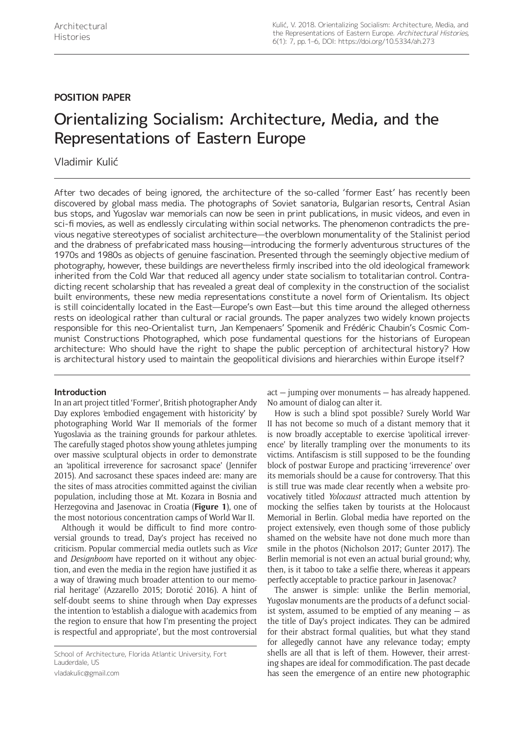## **POSITION PAPER**

# Orientalizing Socialism: Architecture, Media, and the Representations of Eastern Europe

Vladimir Kulić

After two decades of being ignored, the architecture of the so-called 'former East' has recently been discovered by global mass media. The photographs of Soviet sanatoria, Bulgarian resorts, Central Asian bus stops, and Yugoslav war memorials can now be seen in print publications, in music videos, and even in sci-fi movies, as well as endlessly circulating within social networks. The phenomenon contradicts the previous negative stereotypes of socialist architecture—the overblown monumentality of the Stalinist period and the drabness of prefabricated mass housing—introducing the formerly adventurous structures of the 1970s and 1980s as objects of genuine fascination. Presented through the seemingly objective medium of photography, however, these buildings are nevertheless firmly inscribed into the old ideological framework inherited from the Cold War that reduced all agency under state socialism to totalitarian control. Contradicting recent scholarship that has revealed a great deal of complexity in the construction of the socialist built environments, these new media representations constitute a novel form of Orientalism. Its object is still coincidentally located in the East—Europe's own East—but this time around the alleged otherness rests on ideological rather than cultural or racial grounds. The paper analyzes two widely known projects responsible for this neo-Orientalist turn, Jan Kempenaers' Spomenik and Frédéric Chaubin's Cosmic Communist Constructions Photographed, which pose fundamental questions for the historians of European architecture: Who should have the right to shape the public perception of architectural history? How is architectural history used to maintain the geopolitical divisions and hierarchies within Europe itself?

## **Introduction**

In an art project titled 'Former', British photographer Andy Day explores 'embodied engagement with historicity' by photographing World War II memorials of the former Yugoslavia as the training grounds for parkour athletes. The carefully staged photos show young athletes jumping over massive sculptural objects in order to demonstrate an 'apolitical irreverence for sacrosanct space' (Jennifer 2015). And sacrosanct these spaces indeed are: many are the sites of mass atrocities committed against the civilian population, including those at Mt. Kozara in Bosnia and Herzegovina and Jasenovac in Croatia (**Figure 1**), one of the most notorious concentration camps of World War II.

Although it would be difficult to find more controversial grounds to tread, Day's project has received no criticism. Popular commercial media outlets such as *Vice* and *Designboom* have reported on it without any objection, and even the media in the region have justified it as a way of 'drawing much broader attention to our memorial heritage' (Azzarello 2015; Dorotić 2016). A hint of self-doubt seems to shine through when Day expresses the intention to 'establish a dialogue with academics from the region to ensure that how I'm presenting the project is respectful and appropriate', but the most controversial act — jumping over monuments — has already happened. No amount of dialog can alter it.

How is such a blind spot possible? Surely World War II has not become so much of a distant memory that it is now broadly acceptable to exercise 'apolitical irreverence' by literally trampling over the monuments to its victims. Antifascism is still supposed to be the founding block of postwar Europe and practicing 'irreverence' over its memorials should be a cause for controversy. That this is still true was made clear recently when a website provocatively titled *Yolocaust* attracted much attention by mocking the selfies taken by tourists at the Holocaust Memorial in Berlin. Global media have reported on the project extensively, even though some of those publicly shamed on the website have not done much more than smile in the photos (Nicholson 2017; Gunter 2017). The Berlin memorial is not even an actual burial ground; why, then, is it taboo to take a selfie there, whereas it appears perfectly acceptable to practice parkour in Jasenovac?

The answer is simple: unlike the Berlin memorial, Yugoslav monuments are the products of a defunct socialist system, assumed to be emptied of any meaning — as the title of Day's project indicates. They can be admired for their abstract formal qualities, but what they stand for allegedly cannot have any relevance today; empty shells are all that is left of them. However, their arresting shapes are ideal for commodification. The past decade has seen the emergence of an entire new photographic

School of Architecture, Florida Atlantic University, Fort Lauderdale, US [vladakulic@gmail.com](mailto:vladakulic@gmail.com)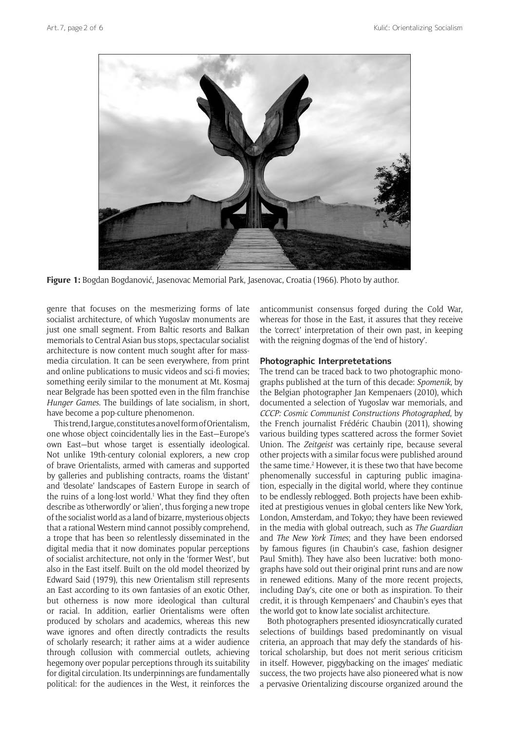

**Figure 1:** Bogdan Bogdanović, Jasenovac Memorial Park, Jasenovac, Croatia (1966). Photo by author.

genre that focuses on the mesmerizing forms of late socialist architecture, of which Yugoslav monuments are just one small segment. From Baltic resorts and Balkan memorials to Central Asian bus stops, spectacular socialist architecture is now content much sought after for massmedia circulation. It can be seen everywhere, from print and online publications to music videos and sci-fi movies; something eerily similar to the monument at Mt. Kosmaj near Belgrade has been spotted even in the film franchise *Hunger Games*. The buildings of late socialism, in short, have become a pop-culture phenomenon.

This trend, I argue, constitutes a novel form of Orientalism, one whose object coincidentally lies in the East—Europe's own East—but whose target is essentially ideological. Not unlike 19th-century colonial explorers, a new crop of brave Orientalists, armed with cameras and supported by galleries and publishing contracts, roams the 'distant' and 'desolate' landscapes of Eastern Europe in search of the ruins of a long-lost world.<sup>1</sup> What they find they often describe as 'otherwordly' or 'alien', thus forging a new trope of the socialist world as a land of bizarre, mysterious objects that a rational Western mind cannot possibly comprehend, a trope that has been so relentlessly disseminated in the digital media that it now dominates popular perceptions of socialist architecture, not only in the 'former West', but also in the East itself. Built on the old model theorized by Edward Said (1979), this new Orientalism still represents an East according to its own fantasies of an exotic Other, but otherness is now more ideological than cultural or racial. In addition, earlier Orientalisms were often produced by scholars and academics, whereas this new wave ignores and often directly contradicts the results of scholarly research; it rather aims at a wider audience through collusion with commercial outlets, achieving hegemony over popular perceptions through its suitability for digital circulation. Its underpinnings are fundamentally political: for the audiences in the West, it reinforces the

anticommunist consensus forged during the Cold War, whereas for those in the East, it assures that they receive the 'correct' interpretation of their own past, in keeping with the reigning dogmas of the 'end of history'.

### **Photographic Interpretetations**

The trend can be traced back to two photographic monographs published at the turn of this decade: *Spomenik*, by the Belgian photographer Jan Kempenaers (2010), which documented a selection of Yugoslav war memorials, and *CCCP: Cosmic Communist Constructions Photographed*, by the French journalist Frédéric Chaubin (2011), showing various building types scattered across the former Soviet Union. The *Zeitgeist* was certainly ripe, because several other projects with a similar focus were published around the same time.<sup>2</sup> However, it is these two that have become phenomenally successful in capturing public imagination, especially in the digital world, where they continue to be endlessly reblogged. Both projects have been exhibited at prestigious venues in global centers like New York, London, Amsterdam, and Tokyo; they have been reviewed in the media with global outreach, such as *The Guardian*  and *The New York Times*; and they have been endorsed by famous figures (in Chaubin's case, fashion designer Paul Smith). They have also been lucrative: both monographs have sold out their original print runs and are now in renewed editions. Many of the more recent projects, including Day's, cite one or both as inspiration. To their credit, it is through Kempenaers' and Chaubin's eyes that the world got to know late socialist architecture.

Both photographers presented idiosyncratically curated selections of buildings based predominantly on visual criteria, an approach that may defy the standards of historical scholarship, but does not merit serious criticism in itself. However, piggybacking on the images' mediatic success, the two projects have also pioneered what is now a pervasive Orientalizing discourse organized around the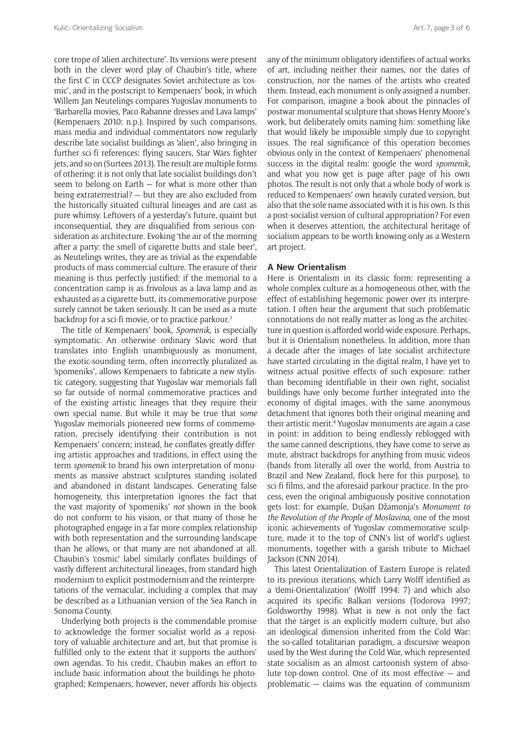core trope of 'alien architecture'. Its versions were present both in the clever word play of Chaubin's title, where the first C in CCCP designates Soviet architecture as 'cosmic', and in the postscript to Kempenaers' book, in which Willem Jan Neutelings compares Yugoslav monuments to 'Barbarella movies, Paco Rabanne dresses and Lava lamps' (Kempenaers 2010: n.p.). Inspired by such comparisons, mass media and individual commentators now regularly describe late socialist buildings as 'alien', also bringing in further sci-fi references: flying saucers, Star Wars fighter jets, and so on (Surtees 2013). The result are multiple forms of othering: it is not only that late socialist buildings don't seem to belong on Earth  $-$  for what is more other than being extraterrestrial? — but they are also excluded from the historically situated cultural lineages and are cast as pure whimsy. Leftovers of a yesterday's future, quaint but inconsequential, they are disqualified from serious consideration as architecture. Evoking 'the air of the morning after a party: the smell of cigarette butts and stale beer', as Neutelings writes, they are as trivial as the expendable products of mass commercial culture. The erasure of their meaning is thus perfectly justified: if the memorial to a concentration camp is as frivolous as a lava lamp and as exhausted as a cigarette butt, its commemorative purpose surely cannot be taken seriously. It can be used as a mute backdrop for a sci-fi movie, or to practice parkour.<sup>3</sup>

The title of Kempenaers' book, *Spomenik*, is especially symptomatic. An otherwise ordinary Slavic word that translates into English unambiguously as monument, the exotic-sounding term, often incorrectly pluralized as 'spomeniks', allows Kempenaers to fabricate a new stylistic category, suggesting that Yugoslav war memorials fall so far outside of normal commemorative practices and of the existing artistic lineages that they require their own special name. But while it may be true that *some*  Yugoslav memorials pioneered new forms of commemoration, precisely identifying their contribution is not Kempenaers' concern; instead, he conflates greatly differing artistic approaches and traditions, in effect using the term *spomenik* to brand his own interpretation of monuments as massive abstract sculptures standing isolated and abandoned in distant landscapes. Generating false homogeneity, this interpretation ignores the fact that the vast majority of 'spomeniks' *not* shown in the book do not conform to his vision, or that many of those he photographed engage in a far more complex relationship with both representation and the surrounding landscape than he allows, or that many are not abandoned at all. Chaubin's 'cosmic' label similarly conflates buildings of vastly different architectural lineages, from standard high modernism to explicit postmodernism and the reinterpretations of the vernacular, including a complex that may be described as a Lithuanian version of the Sea Ranch in Sonoma County.

Underlying both projects is the commendable promise to acknowledge the former socialist world as a repository of valuable architecture and art, but that promise is fulfilled only to the extent that it supports the authors' own agendas. To his credit, Chaubin makes an effort to include basic information about the buildings he photographed; Kempenaers, however, never affords his objects any of the minimum obligatory identifiers of actual works of art, including neither their names, nor the dates of construction, nor the names of the artists who created them. Instead, each monument is only assigned a number. For comparison, imagine a book about the pinnacles of postwar monumental sculpture that shows Henry Moore's work, but deliberately omits naming him: something like that would likely be impossible simply due to copyright issues. The real significance of this operation becomes obvious only in the context of Kempenaers' phenomenal success in the digital realm: google the word *spomenik*, and what you now get is page after page of his own photos. The result is not only that a whole body of work is reduced to Kempenaers' own heavily curated version, but also that the sole name associated with it is his own. Is this a post-socialist version of cultural appropriation? For even when it deserves attention, the architectural heritage of socialism appears to be worth knowing only as a Western art project.

#### **A New Orientalism**

Here is Orientalism in its classic form: representing a whole complex culture as a homogeneous other, with the effect of establishing hegemonic power over its interpretation. I often hear the argument that such problematic connotations do not really matter as long as the architecture in question is afforded world-wide exposure. Perhaps, but it is Orientalism nonetheless. In addition, more than a decade after the images of late socialist architecture have started circulating in the digital realm, I have yet to witness actual positive effects of such exposure: rather than becoming identifiable in their own right, socialist buildings have only become further integrated into the economy of digital images, with the same anonymous detachment that ignores both their original meaning and their artistic merit.4 Yugoslav monuments are again a case in point: in addition to being endlessly reblogged with the same canned descriptions, they have come to serve as mute, abstract backdrops for anything from music videos (bands from literally all over the world, from Austria to Brazil and New Zealand, flock here for this purpose), to sci-fi films, and the aforesaid parkour practice. In the process, even the original ambiguously positive connotation gets lost: for example, Dušan Džamonja's *Monument to the Revolution of the People of Moslavina*, one of the most iconic achievements of Yugoslav commemorative sculpture, made it to the top of CNN's list of world's ugliest monuments, together with a garish tribute to Michael Jackson (CNN 2014).

This latest Orientalization of Eastern Europe is related to its previous iterations, which Larry Wolff identified as a 'demi-Orientalization' (Wolff 1994: 7) and which also acquired its specific Balkan versions (Todorova 1997; Goldsworthy 1998). What is new is not only the fact that the target is an explicitly modern culture, but also an ideological dimension inherited from the Cold War: the so-called totalitarian paradigm, a discursive weapon used by the West during the Cold War, which represented state socialism as an almost cartoonish system of absolute top-down control. One of its most effective — and problematic — claims was the equation of communism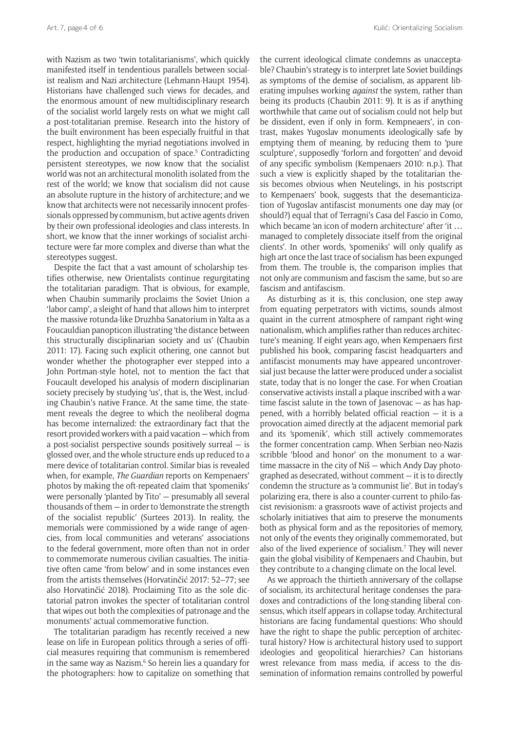with Nazism as two 'twin totalitarianisms', which quickly manifested itself in tendentious parallels between socialist realism and Nazi architecture (Lehmann-Haupt 1954). Historians have challenged such views for decades, and the enormous amount of new multidisciplinary research of the socialist world largely rests on what we might call a post-totalitarian premise. Research into the history of the built environment has been especially fruitful in that respect, highlighting the myriad negotiations involved in the production and occupation of space.<sup>5</sup> Contradicting persistent stereotypes, we now know that the socialist world was not an architectural monolith isolated from the rest of the world; we know that socialism did not cause an absolute rupture in the history of architecture; and we know that architects were not necessarily innocent professionals oppressed by communism, but active agents driven by their own professional ideologies and class interests. In short, we know that the inner workings of socialist architecture were far more complex and diverse than what the stereotypes suggest.

Despite the fact that a vast amount of scholarship testifies otherwise, new Orientalists continue regurgitating the totalitarian paradigm. That is obvious, for example, when Chaubin summarily proclaims the Soviet Union a 'labor camp', a sleight of hand that allows him to interpret the massive rotunda-like Druzhba Sanatorium in Yalta as a Foucauldian panopticon illustrating 'the distance between this structurally disciplinarian society and us' (Chaubin 2011: 17). Facing such explicit othering, one cannot but wonder whether the photographer ever stepped into a John Portman-style hotel, not to mention the fact that Foucault developed his analysis of modern disciplinarian society precisely by studying 'us', that is, the West, including Chaubin's native France. At the same time, the statement reveals the degree to which the neoliberal dogma has become internalized: the extraordinary fact that the resort provided workers with a paid vacation — which from a post-socialist perspective sounds positively surreal — is glossed over, and the whole structure ends up reduced to a mere device of totalitarian control. Similar bias is revealed when, for example, *The Guardian* reports on Kempenaers' photos by making the oft-repeated claim that 'spomeniks' were personally 'planted by Tito' — presumably all several thousands of them — in order to 'demonstrate the strength of the socialist republic' (Surtees 2013). In reality, the memorials were commissioned by a wide range of agencies, from local communities and veterans' associations to the federal government, more often than not in order to commemorate numerous civilian casualties. The initiative often came 'from below' and in some instances even from the artists themselves (Horvatinčić 2017: 52–77; see also Horvatinčić 2018). Proclaiming Tito as the sole dictatorial patron invokes the specter of totalitarian control that wipes out both the complexities of patronage and the monuments' actual commemorative function.

The totalitarian paradigm has recently received a new lease on life in European politics through a series of official measures requiring that communism is remembered in the same way as Nazism.<sup>6</sup> So herein lies a quandary for the photographers: how to capitalize on something that

the current ideological climate condemns as unacceptable? Chaubin's strategy is to interpret late Soviet buildings as symptoms of the demise of socialism, as apparent liberating impulses working *against* the system, rather than being its products (Chaubin 2011: 9). It is as if anything worthwhile that came out of socialism could not help but be dissident, even if only in form. Kempneaers', in contrast, makes Yugoslav monuments ideologically safe by emptying them of meaning, by reducing them to 'pure sculpture', supposedly 'forlorn and forgotten' and devoid of any specific symbolism (Kempenaers 2010: n.p.). That such a view is explicitly shaped by the totalitarian thesis becomes obvious when Neutelings, in his postscript to Kempenaers' book, suggests that the desemanticization of Yugoslav antifascist monuments one day may (or should?) equal that of Terragni's Casa del Fascio in Como, which became 'an icon of modern architecture' after 'it … managed to completely dissociate itself from the original clients'. In other words, 'spomeniks' will only qualify as high art once the last trace of socialism has been expunged from them. The trouble is, the comparison implies that not only are communism and fascism the same, but so are fascism and antifascism.

As disturbing as it is, this conclusion, one step away from equating perpetrators with victims, sounds almost quaint in the current atmosphere of rampant right-wing nationalism, which amplifies rather than reduces architecture's meaning. If eight years ago, when Kempenaers first published his book, comparing fascist headquarters and antifascist monuments may have appeared uncontroversial just because the latter were produced under a socialist state, today that is no longer the case. For when Croatian conservative activists install a plaque inscribed with a wartime fascist salute in the town of Jasenovac — as has happened, with a horribly belated official reaction — it is a provocation aimed directly at the adjacent memorial park and its 'spomenik', which still actively commemorates the former concentration camp. When Serbian neo-Nazis scribble 'blood and honor' on the monument to a wartime massacre in the city of Niš — which Andy Day photographed as desecrated, without comment — it is to directly condemn the structure as 'a communist lie'. But in today's polarizing era, there is also a counter-current to philo-fascist revisionism: a grassroots wave of activist projects and scholarly initiatives that aim to preserve the monuments both as physical form and as the repositories of memory, not only of the events they originally commemorated, but also of the lived experience of socialism.7 They will never gain the global visibility of Kempenaers and Chaubin, but they contribute to a changing climate on the local level.

As we approach the thirtieth anniversary of the collapse of socialism, its architectural heritage condenses the paradoxes and contradictions of the long-standing liberal consensus, which itself appears in collapse today. Architectural historians are facing fundamental questions: Who should have the right to shape the public perception of architectural history? How is architectural history used to support ideologies and geopolitical hierarchies? Can historians wrest relevance from mass media, if access to the dissemination of information remains controlled by powerful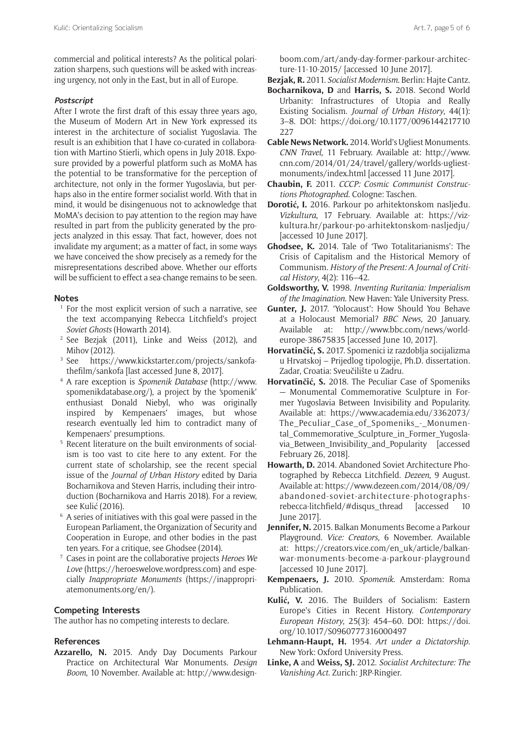commercial and political interests? As the political polarization sharpens, such questions will be asked with increasing urgency, not only in the East, but in all of Europe.

## **Postscript**

After I wrote the first draft of this essay three years ago, the Museum of Modern Art in New York expressed its interest in the architecture of socialist Yugoslavia. The result is an exhibition that I have co-curated in collaboration with Martino Stierli, which opens in July 2018. Exposure provided by a powerful platform such as MoMA has the potential to be transformative for the perception of architecture, not only in the former Yugoslavia, but perhaps also in the entire former socialist world. With that in mind, it would be disingenuous not to acknowledge that MoMA's decision to pay attention to the region may have resulted in part from the publicity generated by the projects analyzed in this essay. That fact, however, does not invalidate my argument; as a matter of fact, in some ways we have conceived the show precisely as a remedy for the misrepresentations described above. Whether our efforts will be sufficient to effect a sea-change remains to be seen.

## **Notes**

- <sup>1</sup> For the most explicit version of such a narrative, see the text accompanying Rebecca Litchfield's project *Soviet Ghosts* (Howarth 2014).
- <sup>2</sup> See Bezjak (2011), Linke and Weiss (2012), and Mihov (2012).
- <sup>3</sup> See [https://www.kickstarter.com/projects/sankofa](https://www.kickstarter.com/projects/sankofathefilm/sankofa)[thefilm/sankofa](https://www.kickstarter.com/projects/sankofathefilm/sankofa) [last accessed June 8, 2017].
- <sup>4</sup> A rare exception is *Spomenik Database* ([http://www.](http://www.spomenikdatabase.org/) [spomenikdatabase.org/](http://www.spomenikdatabase.org/)), a project by the 'spomenik' enthusiast Donald Niebyl, who was originally inspired by Kempenaers' images, but whose research eventually led him to contradict many of Kempenaers' presumptions.
- <sup>5</sup> Recent literature on the built environments of socialism is too vast to cite here to any extent. For the current state of scholarship, see the recent special issue of the *Journal of Urban History* edited by Daria Bocharnikova and Steven Harris, including their introduction (Bocharnikova and Harris 2018). For a review, see Kulić (2016).
- <sup>6</sup> A series of initiatives with this goal were passed in the European Parliament, the Organization of Security and Cooperation in Europe, and other bodies in the past ten years. For a critique, see Ghodsee (2014).
- <sup>7</sup> Cases in point are the collaborative projects *Heroes We Love* [\(https://heroeswelove.wordpress.com](https://heroeswelove.wordpress.com)) and especially *Inappropriate Monuments* ([https://inappropri](https://inappropriatemonuments.org/en/)[atemonuments.org/en/\)](https://inappropriatemonuments.org/en/).

## **Competing Interests**

The author has no competing interests to declare.

## **References**

**Azzarello, N.** 2015. Andy Day Documents Parkour Practice on Architectural War Monuments. *Design Boom*, 10 November. Available at: [http://www.design-](http://www.designboom.com/art/andy-day-former-parkour-architecture-11-10-2015/)

- **Bezjak, R.** 2011. *Socialist Modernism*. Berlin: Hajte Cantz.
- **Bocharnikova, D** and **Harris, S.** 2018. Second World Urbanity: Infrastructures of Utopia and Really Existing Socialism. *Journal of Urban History*, 44(1): 3–8. DOI: [https://doi.org/10.1177/0096144217710](https://doi.org/10.1177/0096144217710227) [227](https://doi.org/10.1177/0096144217710227)
- **Cable News Network.** 2014. World's Ugliest Monuments. *CNN Travel*, 11 February. Available at: [http://www.](http://www.cnn.com/2014/01/24/travel/gallery/worlds-ugliest-monuments/index.html ) [cnn.com/2014/01/24/travel/gallery/worlds-ugliest](http://www.cnn.com/2014/01/24/travel/gallery/worlds-ugliest-monuments/index.html )[monuments/index.html \[](http://www.cnn.com/2014/01/24/travel/gallery/worlds-ugliest-monuments/index.html )accessed 11 June 2017].
- **Chaubin, F.** 2011. *CCCP: Cosmic Communist Constructions Photographed*. Cologne: Taschen.
- **Dorotić, I.** 2016. Parkour po arhitektonskom nasljeđu. *Vizkultura*, 17 February. Available at: [https://viz](https://vizkultura.hr/parkour-po-arhitektonskom-nasljedju/)[kultura.hr/parkour-po-arhitektonskom-nasljedju/](https://vizkultura.hr/parkour-po-arhitektonskom-nasljedju/) [accessed 10 June 2017].
- **Ghodsee, K.** 2014. Tale of 'Two Totalitarianisms': The Crisis of Capitalism and the Historical Memory of Communism. *History of the Present: A Journal of Critical History*, 4(2): 116–42.
- **Goldsworthy, V.** 1998. *Inventing Ruritania: Imperialism of the Imagination*. New Haven: Yale University Press.
- **Gunter, J.** 2017. 'Yolocaust': How Should You Behave at a Holocaust Memorial? *BBC News*, 20 January. Available at: [http://www.bbc.com/news/world](http://www.bbc.com/news/world-europe-38675835)[europe-38675835](http://www.bbc.com/news/world-europe-38675835) [accessed June 10, 2017].
- **Horvatinčić, S.** 2017. Spomenici iz razdoblja socijalizma u Hrvatskoj – Prijedlog tipologije, Ph.D. dissertation. Zadar, Croatia: Sveučilište u Zadru.
- **Horvatinčić, S.** 2018. The Peculiar Case of Spomeniks — Monumental Commemorative Sculpture in Former Yugoslavia Between Invisibility and Popularity. Available at: [https://www.academia.edu/3362073/](https://www.academia.edu/3362073/The_Peculiar_Case_of_Spomeniks_-_Monumental_Commemorative_Sculpture_in_Former_Yugoslavia_Between_Invisibility_and_Popularity) [The\\_Peculiar\\_Case\\_of\\_Spomeniks\\_-\\_Monumen](https://www.academia.edu/3362073/The_Peculiar_Case_of_Spomeniks_-_Monumental_Commemorative_Sculpture_in_Former_Yugoslavia_Between_Invisibility_and_Popularity)[tal\\_Commemorative\\_Sculpture\\_in\\_Former\\_Yugosla](https://www.academia.edu/3362073/The_Peculiar_Case_of_Spomeniks_-_Monumental_Commemorative_Sculpture_in_Former_Yugoslavia_Between_Invisibility_and_Popularity)[via\\_Between\\_Invisibility\\_and\\_Popularity](https://www.academia.edu/3362073/The_Peculiar_Case_of_Spomeniks_-_Monumental_Commemorative_Sculpture_in_Former_Yugoslavia_Between_Invisibility_and_Popularity) [accessed February 26, 2018].
- **Howarth, D.** 2014. Abandoned Soviet Architecture Photographed by Rebecca Litchfield. *Dezeen*, 9 August. Available at: [https://www.dezeen.com/2014/08/09/](https://www.dezeen.com/2014/08/09/abandoned-soviet-architecture-photographs-rebecca-litchfield/#disqus_thread) [abandoned-soviet-architecture-photographs](https://www.dezeen.com/2014/08/09/abandoned-soviet-architecture-photographs-rebecca-litchfield/#disqus_thread)[rebecca-litchfield/#disqus\\_thread](https://www.dezeen.com/2014/08/09/abandoned-soviet-architecture-photographs-rebecca-litchfield/#disqus_thread) [accessed 10 June 2017].
- **Jennifer, N.** 2015. Balkan Monuments Become a Parkour Playground. *Vice: Creators*, 6 November. Available at: [https://creators.vice.com/en\\_uk/article/balkan](https://creators.vice.com/en_uk/article/balkan-war-monuments-become-a-parkour-playground)[war-monuments-become-a-parkour-playground](https://creators.vice.com/en_uk/article/balkan-war-monuments-become-a-parkour-playground) [accessed 10 June 2017].
- **Kempenaers, J.** 2010. *Spomenik*. Amsterdam: Roma Publication.
- **Kulić, V.** 2016. The Builders of Socialism: Eastern Europe's Cities in Recent History. *Contemporary European History*, 25(3): 454–60. DOI: [https://doi.](https://doi.org/10.1017/S0960777316000497) [org/10.1017/S0960777316000497](https://doi.org/10.1017/S0960777316000497)
- **Lehmann-Haupt, H.** 1954. *Art under a Dictatorship*. New York: Oxford University Press.
- **Linke, A** and **Weiss, SJ.** 2012. *Socialist Architecture: The Vanishing Act*. Zurich: JRP-Ringier.